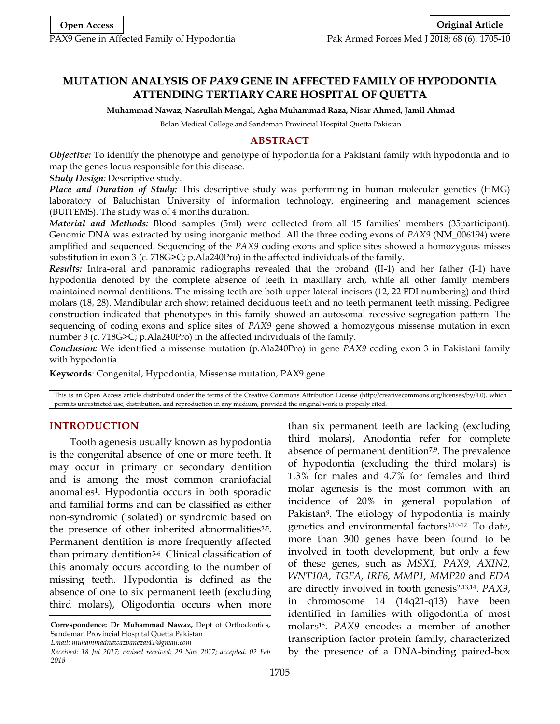# **MUTATION ANALYSIS OF** *PAX9* **GENE IN AFFECTED FAMILY OF HYPODONTIA ATTENDING TERTIARY CARE HOSPITAL OF QUETTA**

**Muhammad Nawaz, Nasrullah Mengal, Agha Muhammad Raza, Nisar Ahmed, Jamil Ahmad**

Bolan Medical College and Sandeman Provincial Hospital Quetta Pakistan

### **ABSTRACT**

*Objective:* To identify the phenotype and genotype of hypodontia for a Pakistani family with hypodontia and to map the genes locus responsible for this disease.

*Study Design:* Descriptive study.

*Place and Duration of Study:* This descriptive study was performing in human molecular genetics (HMG) laboratory of Baluchistan University of information technology, engineering and management sciences (BUITEMS). The study was of 4 months duration.

*Material and Methods:* Blood samples (5ml) were collected from all 15 families' members (35participant). Genomic DNA was extracted by using inorganic method. All the three coding exons of *PAX9* (NM\_006194) were amplified and sequenced. Sequencing of the *PAX9* coding exons and splice sites showed a homozygous misses substitution in exon 3 (c. 718G>C; p.Ala240Pro) in the affected individuals of the family.

*Results:* Intra-oral and panoramic radiographs revealed that the proband (II-1) and her father (I-1) have hypodontia denoted by the complete absence of teeth in maxillary arch, while all other family members maintained normal dentitions. The missing teeth are both upper lateral incisors (12, 22 FDI numbering) and third molars (18, 28). Mandibular arch show; retained deciduous teeth and no teeth permanent teeth missing. Pedigree construction indicated that phenotypes in this family showed an autosomal recessive segregation pattern. The sequencing of coding exons and splice sites of *PAX9* gene showed a homozygous missense mutation in exon number 3 (c. 718G>C; p.Ala240Pro) in the affected individuals of the family.

*Conclusion:* We identified a missense mutation (p.Ala240Pro) in gene *PAX9* coding exon 3 in Pakistani family with hypodontia.

**Keywords**: Congenital, Hypodontia, Missense mutation, PAX9 gene.

This is an Open Access article distributed under the terms of the Creative Commons Attribution License (http://creativecommons.org/licenses/by/4.0), which permits unrestricted use, distribution, and reproduction in any medium, provided the original work is properly cited.

#### **INTRODUCTION**

Tooth agenesis usually known as hypodontia is the congenital absence of one or more teeth. It may occur in primary or secondary dentition and is among the most common craniofacial anomalie[s](#page-4-0)1. Hypodontia occurs in both sporadic and familial forms and can be classified as either non-syndromic (isolated) or syndromic based on the pre[s](#page-4-1)ence of other inherited abnormalities<sup>2,5</sup>. Permanent dentition is more frequently affected than primary dentition[5-](#page-4-2)[6](#page-4-3). Clinical classification of this anomaly occurs according to the number of missing teeth. Hypodontia is defined as the absence of one to six permanent teeth (excluding third molars), Oligodontia occurs when more

*Email: muhammadnawazpanezai41@gmail.com*

than six permanent teeth are lacking (excluding third molars), Anodontia refer for complete abse[n](#page-4-4)ce of permanent dentition<sup>7,9</sup>. The prevalence of hypodontia (excluding the third molars) is 1.3% for males and 4.7% for females and third molar agenesis is the most common with an incidence of 20% in general population of Pakistan9. The etiology of hypodontia is mainly genetics and environmental factors[3,](#page-4-5)[10-12](#page-4-6). To date, more than 300 genes have been found to be involved in tooth development, but only a few of these genes, such as *MSX1, PAX9, AXIN2, WNT10A, TGFA, IRF6, MMP1, MMP20* and *EDA* are directly involved in tooth genesis[2](#page-4-1)[,13,](#page-4-7)[14](#page-4-8). *PAX9*, in chromosome 14 (14q21-q13) have been identified in families with oligodontia of most molar[s](#page-4-9)15. *PAX9* encodes a member of another transcription factor protein family, characterized by the presence of a DNA-binding paired-box

**Correspondence: Dr Muhammad Nawaz,** Dept of Orthodontics, Sandeman Provincial Hospital Quetta Pakistan

*Received: 18 Jul 2017; revised received: 29 Nov 2017; accepted: 02 Feb 2018*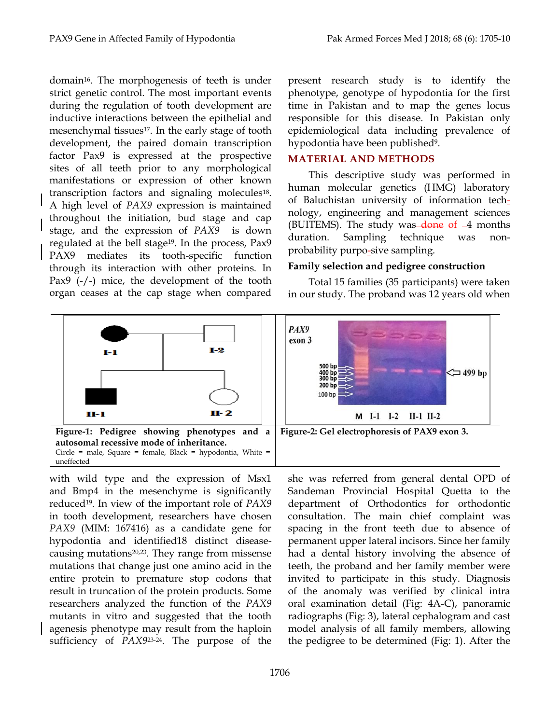domai[n](#page-4-10)16. The morphogenesis of teeth is under strict genetic control. The most important events during the regulation of tooth development are inductive interactions between the epithelial and me[s](#page-4-11)enchymal tissues<sup>17</sup>. In the early stage of tooth development, the paired domain transcription factor Pax9 is expressed at the prospective sites of all teeth prior to any morphological manifestations or expression of other known tran[s](#page-4-12)cription factors and signaling molecules<sup>18</sup>. A high level of *PAX9* expression is maintained throughout the initiation, bud stage and cap stage, and the expression of *PAX9* is down r[e](#page-4-13)gulated at the bell stage<sup>19</sup>. In the process, Pax9 PAX9 mediates its tooth-specific function through its interaction with other proteins. In Pax9 (-/-) mice, the development of the tooth organ ceases at the cap stage when compared

present research study is to identify the phenotype, genotype of hypodontia for the first time in Pakistan and to map the genes locus responsible for this disease. In Pakistan only epidemiological data including prevalence of hypodontia have been publishe[d](#page-4-15)9.

## **MATERIAL AND METHODS**

This descriptive study was performed in human molecular genetics (HMG) laboratory of Baluchistan university of information technology, engineering and management sciences (BUITEMS). The study was  $\frac{1}{4}$  months duration. Sampling technique was nonprobability purpo-sive sampling.

## **Family selection and pedigree construction**

Total 15 families (35 participants) were taken in our study. The proband was 12 years old when



with wild type and the expression of Msx1 and Bmp4 in the mesenchyme is significantly reduce[d](#page-4-13)19. In view of the important role of *PAX9*  in tooth development, researchers have chosen *PAX9* (MIM: 167416) as a candidate gene for hypodontia and identified18 distinct diseasecausing mutation[s](#page-4-14)20,23. They range from missense mutations that change just one amino acid in the entire protein to premature stop codons that result in truncation of the protein products. Some researchers analyzed the function of the *PAX9* mutants in vitro and suggested that the tooth agenesis phenotype may result from the haploin sufficiency of *PAX9*[23](#page-5-0)[-24](#page-5-1). The purpose of the

she was referred from general dental OPD of Sandeman Provincial Hospital Quetta to the department of Orthodontics for orthodontic consultation. The main chief complaint was spacing in the front teeth due to absence of permanent upper lateral incisors. Since her family had a dental history involving the absence of teeth, the proband and her family member were invited to participate in this study. Diagnosis of the anomaly was verified by clinical intra oral examination detail (Fig: 4A-C), panoramic radiographs (Fig: 3), lateral cephalogram and cast model analysis of all family members, allowing the pedigree to be determined (Fig: 1). After the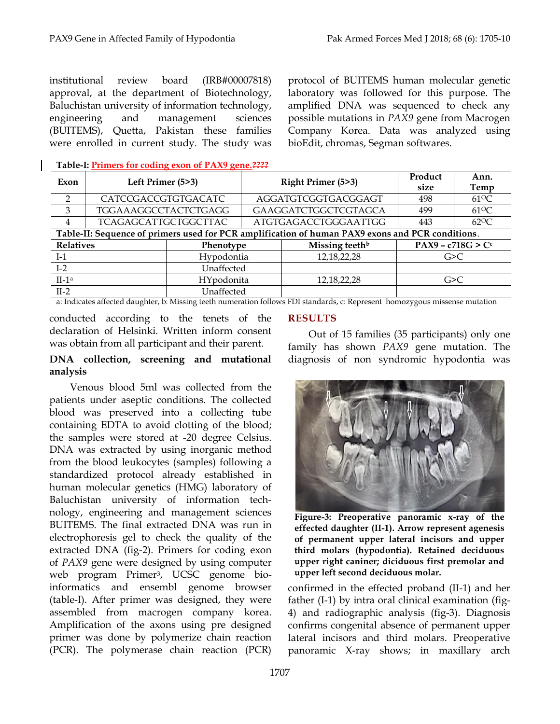institutional review board (IRB#00007818) approval, at the department of Biotechnology, Baluchistan university of information technology, engineering and management sciences (BUITEMS), Quetta, Pakistan these families were enrolled in current study. The study was protocol of BUITEMS human molecular genetic laboratory was followed for this purpose. The amplified DNA was sequenced to check any possible mutations in *PAX9* gene from Macrogen Company Korea. Data was analyzed using bioEdit, chromas, Segman softwares.

**Table-I: Primers for coding exon of PAX9 gene.????**

| Exon                                                                                             | Left Primer (5>3)           |            | <b>Right Primer (5&gt;3)</b> |                            | Product<br>size     | Ann.<br>Temp  |
|--------------------------------------------------------------------------------------------------|-----------------------------|------------|------------------------------|----------------------------|---------------------|---------------|
| $\overline{2}$                                                                                   | CATCCGACCGTGTGACATC         |            | AGGATGTCGGTGACGGAGT          |                            | 498                 | $61^{\circ}C$ |
| 3                                                                                                | TGGAAAGGCCTACTCTGAGG        |            | <b>GAAGGATCTGGCTCGTAGCA</b>  |                            | 499                 | $61^{\circ}C$ |
| $\overline{4}$                                                                                   | <b>TCAGAGCATTGCTGGCTTAC</b> |            | <b>ATGTGAGACCTGGGAATTGG</b>  |                            | 443                 | $62^{\circ}C$ |
| Table-II: Sequence of primers used for PCR amplification of human PAX9 exons and PCR conditions. |                             |            |                              |                            |                     |               |
| <b>Relatives</b>                                                                                 |                             | Phenotype  |                              | Missing teeth <sup>b</sup> | PAX9 - $c718G > Cc$ |               |
| $I-1$                                                                                            |                             | Hypodontia |                              | 12, 18, 22, 28             | G>C                 |               |
| $I-2$                                                                                            |                             | Unaffected |                              |                            |                     |               |
| $II-1a$                                                                                          |                             | HYpodonita |                              | 12, 18, 22, 28             | G>C                 |               |
| $II-2$                                                                                           |                             | Unaffected |                              |                            |                     |               |

a: Indicates affected daughter, b: Missing teeth numeration follows FDI standards, c: Represent homozygous missense mutation

conducted according to the tenets of the declaration of Helsinki. Written inform consent was obtain from all participant and their parent.

# **DNA collection, screening and mutational analysis**

Venous blood 5ml was collected from the patients under aseptic conditions. The collected blood was preserved into a collecting tube containing EDTA to avoid clotting of the blood; the samples were stored at -20 degree Celsius. DNA was extracted by using inorganic method from the blood leukocytes (samples) following a standardized protocol already established in human molecular genetics (HMG) laboratory of Baluchistan university of information technology, engineering and management sciences BUITEMS. The final extracted DNA was run in electrophoresis gel to check the quality of the extracted DNA (fig-2). Primers for coding exon of *PAX9* gene were designed by using computer web program Primer3, UCSC genome bioinformatics and ensembl genome browser (table-I). After primer was designed, they were assembled from macrogen company korea. Amplification of the axons using pre designed primer was done by polymerize chain reaction (PCR). The polymerase chain reaction (PCR)

# **RESULTS**

Out of 15 families (35 participants) only one family has shown *PAX9* gene mutation. The diagnosis of non syndromic hypodontia was



**Figure-3: Preoperative panoramic x-ray of the effected daughter (II-1). Arrow represent agenesis of permanent upper lateral incisors and upper third molars (hypodontia). Retained deciduous upper right caniner; diciduous first premolar and upper left second deciduous molar.**

confirmed in the effected proband (II-1) and her father (I-1) by intra oral clinical examination (fig-4) and radiographic analysis (fig-3). Diagnosis confirms congenital absence of permanent upper lateral incisors and third molars. Preoperative panoramic X-ray shows; in maxillary arch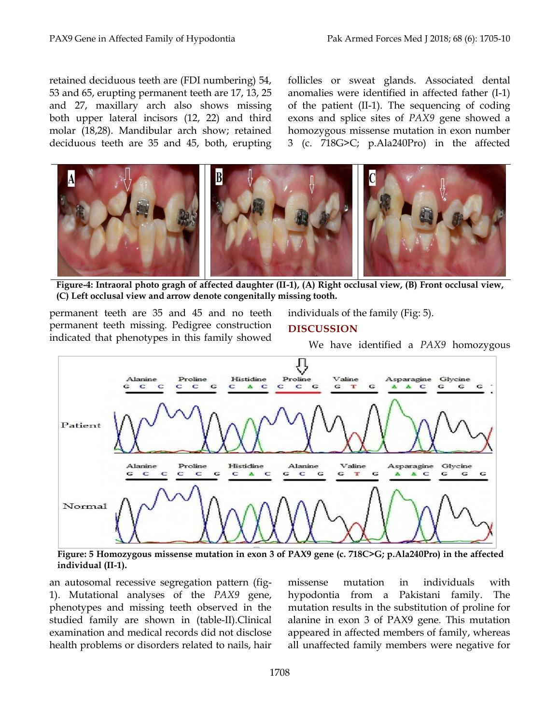retained deciduous teeth are (FDI numbering) 54, 53 and 65, erupting permanent teeth are 17, 13, 25 and 27, maxillary arch also shows missing both upper lateral incisors (12, 22) and third molar (18,28). Mandibular arch show; retained deciduous teeth are 35 and 45, both, erupting follicles or sweat glands. Associated dental anomalies were identified in affected father (I-1) of the patient (II-1). The sequencing of coding exons and splice sites of *PAX9* gene showed a homozygous missense mutation in exon number 3 (c. 718G>C; p.Ala240Pro) in the affected



**Figure-4: Intraoral photo gragh of affected daughter (II-1), (A) Right occlusal view, (B) Front occlusal view, (C) Left occlusal view and arrow denote congenitally missing tooth.**

permanent teeth are 35 and 45 and no teeth permanent teeth missing. Pedigree construction indicated that phenotypes in this family showed individuals of the family (Fig: 5).

## **DISCUSSION**

We have identified a *PAX9* homozygous



**Figure: 5 Homozygous missense mutation in exon 3 of PAX9 gene (c. 718C>G; p.Ala240Pro) in the affected individual (II-1).**

an autosomal recessive segregation pattern (fig-1). Mutational analyses of the *PAX9* gene, phenotypes and missing teeth observed in the studied family are shown in (table-II).Clinical examination and medical records did not disclose health problems or disorders related to nails, hair

missense mutation in individuals with hypodontia from a Pakistani family. The mutation results in the substitution of proline for alanine in exon 3 of PAX9 gene. This mutation appeared in affected members of family, whereas all unaffected family members were negative for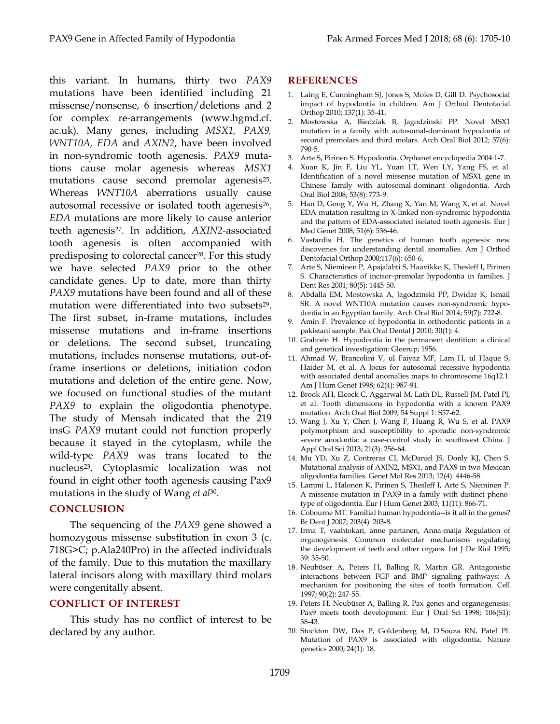this variant. In humans, thirty two *PAX9* mutations have been identified including 21 missense/nonsense, 6 insertion/deletions and 2 for complex re-arrangements (www.hgmd.cf. ac.uk). Many genes, including *MSX1, PAX9, WNT10A, EDA* and *AXIN2*, have been involved in non-syndromic tooth agenesis. *PAX9* mutations cause molar agenesis whereas *MSX1* mutation[s](#page-5-2) cause second premolar agenesis<sup>25</sup>. Whereas *WNT10A* aberrations usually cause autosomal recessive or isolated tooth agenesi[s](#page-5-3)26. *EDA* mutations are more likely to cause anterior teeth agenesi[s](#page-5-4)27. In addition, *AXIN2-*associated tooth agenesis is often accompanied with p[r](#page-5-5)edisposing to colorectal cancer<sup>28</sup>. For this study we have selected *PAX9* prior to the other candidate genes. Up to date, more than thirty *PAX9* mutations have been found and all of these mutation were differentiated into two [s](#page-5-6)ubsets<sup>29</sup>. The first subset, in-frame mutations, includes missense mutations and in-frame insertions or deletions. The second subset, truncating mutations, includes nonsense mutations, out-offrame insertions or deletions, initiation codon mutations and deletion of the entire gene. Now, we focused on functional studies of the mutant *PAX9* to explain the oligodontia phenotype. The study of Mensah indicated that the 219 insG *PAX9* mutant could not function properly because it stayed in the cytoplasm, while the wild-type *PAX9* was trans located to the nucleu[s](#page-5-0)23. Cytoplasmic localization was not found in eight other tooth agenesis causing Pax9 mutations in the study of Wang *et a[l](#page-5-7)*30.

#### **CONCLUSION**

The sequencing of the *PAX9* gene showed a homozygous missense substitution in exon 3 (c. 718G>C; p.Ala240Pro) in the affected individuals of the family. Due to this mutation the maxillary lateral incisors along with maxillary third molars were congenitally absent.

### **CONFLICT OF INTEREST**

This study has no conflict of interest to be declared by any author.

#### **REFERENCES**

- <span id="page-4-0"></span>1. Laing E, Cunningham SJ, Jones S, Moles D, Gill D. Psychosocial impact of hypodontia in children. Am J Orthod Dentofacial Orthop 2010; 137(1): 35-41.
- <span id="page-4-1"></span>2. Mostowska A, Biedziak B, Jagodzinski PP. Novel MSX1 mutation in a family with autosomal-dominant hypodontia of second premolars and third molars. Arch Oral Biol 2012; 57(6): 790-5.
- <span id="page-4-5"></span>3. Arte S, Pirinen S. Hypodontia. Orphanet encyclopedia 2004:1-7.
- 4. Xuan K, Jin F, Liu YL, Yuan LT, Wen LY, Yang FS, et al. Identification of a novel missense mutation of MSX1 gene in Chinese family with autosomal-dominant oligodontia. Arch Oral Biol 2008; 53(8): 773-9.
- <span id="page-4-2"></span>5. Han D, Gong Y, Wu H, Zhang X, Yan M, Wang X, et al. Novel EDA mutation resulting in X-linked non-syndromic hypodontia and the pattern of EDA-associated isolated tooth agenesis. Eur J Med Genet 2008; 51(6): 536-46.
- <span id="page-4-3"></span>6. Vastardis H. The genetics of human tooth agenesis: new discoveries for understanding dental anomalies. Am J Orthod Dentofacial Orthop 2000;117(6): 650-6.
- <span id="page-4-4"></span>7. Arte S, Nieminen P, Apajalahti S, Haavikko K, Thesleff I, Pirinen S. Characteristics of incisor-premolar hypodontia in families. J Dent Res 2001; 80(5): 1445-50.
- 8. Abdalla EM, Mostowska A, Jagodzinski PP, Dwidar K, Ismail SR. A novel WNT10A mutation causes non-syndromic hypodontia in an Egyptian family. Arch Oral Biol 2014; 59(7): 722-8.
- <span id="page-4-15"></span>9. Amin F. Prevalence of hypodontia in orthodontic patients in a pakistani sample. Pak Oral Dental J 2010; 30(1): 4.
- <span id="page-4-6"></span>10. Grahnén H. Hypodontia in the permanent dentition: a clinical and genetical investigation: Gleerup; 1956.
- 11. Ahmad W, Brancolini V, ul Faiyaz MF, Lam H, ul Haque S, Haider M, et al. A locus for autosomal recessive hypodontia with associated dental anomalies maps to chromosome 16q12.1. Am J Hum Genet 1998; 62(4): 987-91.
- 12. Brook AH, Elcock C, Aggarwal M, Lath DL, Russell JM, Patel PI, et al. Tooth dimensions in hypodontia with a known PAX9 mutation. Arch Oral Biol 2009; 54 Suppl 1: S57-62.
- <span id="page-4-7"></span>13. Wang J, Xu Y, Chen J, Wang F, Huang R, Wu S, et al. PAX9 polymorphism and susceptibility to sporadic non-syndromic severe anodontia: a case-control study in southwest China. J Appl Oral Sci 2013; 21(3): 256-64.
- <span id="page-4-8"></span>14. Mu YD, Xu Z, Contreras CI, McDaniel JS, Donly KJ, Chen S. Mutational analysis of AXIN2, MSX1, and PAX9 in two Mexican oligodontia families. Genet Mol Res 2013; 12(4): 4446-58.
- <span id="page-4-9"></span>15. Lammi L, Halonen K, Pirinen S, Thesleff I, Arte S, Nieminen P. A missense mutation in PAX9 in a family with distinct phenotype of oligodontia. Eur J Hum Genet 2003; 11(11): 866-71.
- <span id="page-4-10"></span>16. Cobourne MT. Familial human hypodontia--is it all in the genes? Br Dent J 2007; 203(4): 203-8.
- <span id="page-4-11"></span>17. Irma T, vaahtokari, anne partanen, Anna-maija Regulation of organogenesis. Common molecular mechanisms regulating the development of teeth and other organs. Int J De Riol 1995; 39: 35-50.
- <span id="page-4-12"></span>18. Neubüser A, Peters H, Balling R, Martin GR. Antagonistic interactions between FGF and BMP signaling pathways: A mechanism for positioning the sites of tooth formation. Cell 1997; 90(2): 247-55.
- <span id="page-4-13"></span>19. Peters H, Neubüser A, Balling R. Pax genes and organogenesis: Pax9 meets tooth development. Eur J Oral Sci 1998; 106(S1): 38-43.
- <span id="page-4-14"></span>20. Stockton DW, Das P, Goldenberg M, D'Souza RN, Patel PI. Mutation of PAX9 is associated with oligodontia. Nature genetics 2000; 24(1): 18.